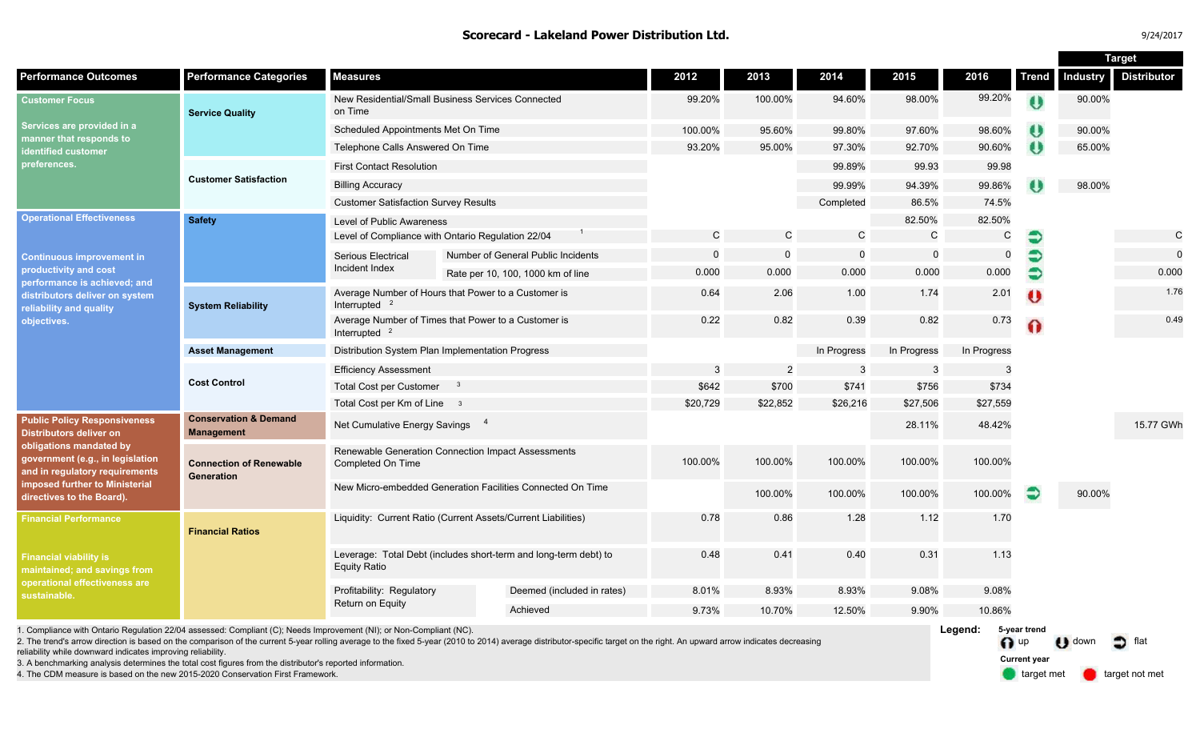### **Scorecard - Lakeland Power Distribution Ltd.**

| 9/24/2017 |  |
|-----------|--|
|           |  |

|                                                                                                                                                                                                                                       |                                                                                                                                                |                                                                                         |          |                                    |              |                |              |              |              |              | <b>Target</b> |                    |
|---------------------------------------------------------------------------------------------------------------------------------------------------------------------------------------------------------------------------------------|------------------------------------------------------------------------------------------------------------------------------------------------|-----------------------------------------------------------------------------------------|----------|------------------------------------|--------------|----------------|--------------|--------------|--------------|--------------|---------------|--------------------|
| <b>Performance Outcomes</b>                                                                                                                                                                                                           | <b>Performance Categories</b>                                                                                                                  | <b>Measures</b>                                                                         |          |                                    | 2012         | 2013           | 2014         | 2015         | 2016         | <b>Trend</b> | Industry      | <b>Distributor</b> |
| <b>Customer Focus</b><br>Services are provided in a<br>manner that responds to<br>dentified customer<br>preferences.                                                                                                                  | <b>Service Quality</b>                                                                                                                         | New Residential/Small Business Services Connected<br>on Time                            |          |                                    | 99.20%       | 100.00%        | 94.60%       | 98.00%       | 99.20%       | $\theta$     | 90.00%        |                    |
|                                                                                                                                                                                                                                       |                                                                                                                                                | Scheduled Appointments Met On Time                                                      |          |                                    | 100.00%      | 95.60%         | 99.80%       | 97.60%       | 98.60%       | $\bullet$    | 90.00%        |                    |
|                                                                                                                                                                                                                                       |                                                                                                                                                | Telephone Calls Answered On Time                                                        |          |                                    | 93.20%       | 95.00%         | 97.30%       | 92.70%       | 90.60%       | $\bullet$    | 65.00%        |                    |
|                                                                                                                                                                                                                                       | <b>Customer Satisfaction</b>                                                                                                                   | <b>First Contact Resolution</b>                                                         |          |                                    |              |                | 99.89%       | 99.93        | 99.98        |              |               |                    |
|                                                                                                                                                                                                                                       |                                                                                                                                                | <b>Billing Accuracy</b>                                                                 |          |                                    |              |                | 99.99%       | 94.39%       | 99.86%       |              | 98.00%        |                    |
|                                                                                                                                                                                                                                       |                                                                                                                                                | <b>Customer Satisfaction Survey Results</b>                                             |          |                                    |              |                | Completed    | 86.5%        | 74.5%        |              |               |                    |
| <b>Operational Effectiveness</b><br><b>Continuous improvement in</b><br>productivity and cost<br>performance is achieved; and<br>distributors deliver on system<br>reliability and quality<br>objectives.                             | <b>Safety</b>                                                                                                                                  | <b>Level of Public Awareness</b>                                                        |          |                                    |              |                |              | 82.50%       | 82.50%       |              |               |                    |
|                                                                                                                                                                                                                                       |                                                                                                                                                | Level of Compliance with Ontario Regulation 22/04                                       |          |                                    | $\mathsf{C}$ | $\mathsf C$    | $\mathsf{C}$ | $\mathsf{C}$ | $\mathsf{C}$ | €            |               | $\mathsf{C}$       |
|                                                                                                                                                                                                                                       |                                                                                                                                                | Serious Electrical                                                                      |          | Number of General Public Incidents | $\Omega$     | $\Omega$       | $\mathbf 0$  | $\mathbf 0$  | $\mathbf 0$  | €            |               | $\mathbf 0$        |
|                                                                                                                                                                                                                                       |                                                                                                                                                | Incident Index                                                                          |          | Rate per 10, 100, 1000 km of line  | 0.000        | 0.000          | 0.000        | 0.000        | 0.000        | €            |               | 0.000              |
|                                                                                                                                                                                                                                       | <b>System Reliability</b>                                                                                                                      | Average Number of Hours that Power to a Customer is<br>Interrupted <sup>2</sup>         |          |                                    | 0.64         | 2.06           | 1.00         | 1.74         | 2.01         | Ü            |               | 1.76               |
|                                                                                                                                                                                                                                       |                                                                                                                                                | Average Number of Times that Power to a Customer is<br>Interrupted $2$                  |          |                                    | 0.22         | 0.82           | 0.39         | 0.82         | 0.73         | 0            |               | 0.49               |
|                                                                                                                                                                                                                                       | <b>Asset Management</b>                                                                                                                        | Distribution System Plan Implementation Progress                                        |          |                                    |              |                | In Progress  | In Progress  | In Progress  |              |               |                    |
|                                                                                                                                                                                                                                       | <b>Cost Control</b>                                                                                                                            | <b>Efficiency Assessment</b>                                                            |          |                                    | 3            | $\overline{2}$ | 3            | 3            | 3            |              |               |                    |
|                                                                                                                                                                                                                                       |                                                                                                                                                | <b>Total Cost per Customer</b><br>$\mathbf{3}$                                          |          |                                    | \$642        | \$700          | \$741        | \$756        | \$734        |              |               |                    |
|                                                                                                                                                                                                                                       |                                                                                                                                                | Total Cost per Km of Line 3                                                             |          |                                    | \$20,729     | \$22,852       | \$26,216     | \$27,506     | \$27,559     |              |               |                    |
| <b>Public Policy Responsiveness</b><br><b>Distributors deliver on</b><br>obligations mandated by<br>government (e.g., in legislation<br>and in regulatory requirements<br>imposed further to Ministerial<br>directives to the Board). | <b>Conservation &amp; Demand</b><br><b>Management</b>                                                                                          | Net Cumulative Energy Savings 4                                                         |          |                                    |              |                |              | 28.11%       | 48.42%       |              |               | 15.77 GWh          |
|                                                                                                                                                                                                                                       | <b>Connection of Renewable</b><br>Generation                                                                                                   | Renewable Generation Connection Impact Assessments<br>Completed On Time                 |          |                                    | 100.00%      | 100.00%        | 100.00%      | 100.00%      | 100.00%      |              |               |                    |
|                                                                                                                                                                                                                                       |                                                                                                                                                | New Micro-embedded Generation Facilities Connected On Time                              |          |                                    |              | 100.00%        | 100.00%      | 100.00%      | 100.00%      | Э            | 90.00%        |                    |
| <b>Financial Performance</b>                                                                                                                                                                                                          | <b>Financial Ratios</b>                                                                                                                        | Liquidity: Current Ratio (Current Assets/Current Liabilities)                           |          |                                    | 0.78         | 0.86           | 1.28         | 1.12         | 1.70         |              |               |                    |
| <b>Financial viability is</b><br>maintained; and savings from<br>operational effectiveness are<br>sustainable.                                                                                                                        |                                                                                                                                                | Leverage: Total Debt (includes short-term and long-term debt) to<br><b>Equity Ratio</b> |          |                                    | 0.48         | 0.41           | 0.40         | 0.31         | 1.13         |              |               |                    |
|                                                                                                                                                                                                                                       |                                                                                                                                                | Profitability: Regulatory<br>Return on Equity                                           |          | Deemed (included in rates)         | 8.01%        | 8.93%          | 8.93%        | 9.08%        | 9.08%        |              |               |                    |
|                                                                                                                                                                                                                                       |                                                                                                                                                |                                                                                         | Achieved | 9.73%                              | 10.70%       | 12.50%         | 9.90%        | 10.86%       |              |              |               |                    |
|                                                                                                                                                                                                                                       | 1. Compliance with Ontario Regulation 22/04 assessed: Compliant (C); Needs Improvement (NI); or Non-Compliant (NC).<br>Leaend:<br>5-year trend |                                                                                         |          |                                    |              |                |              |              |              |              |               |                    |

2. The trend's arrow direction is based on the comparison of the current 5-year rolling average to the fixed 5-year (2010 to 2014) average distributor-specific target on the right. An upward arrow indicates decreasing reliability while downward indicates improving reliability.

3. A benchmarking analysis determines the total cost figures from the distributor's reported information.

4. The CDM measure is based on the new 2015-2020 Conservation First Framework.

**Current year**

n up U down of flat

target met **target not met**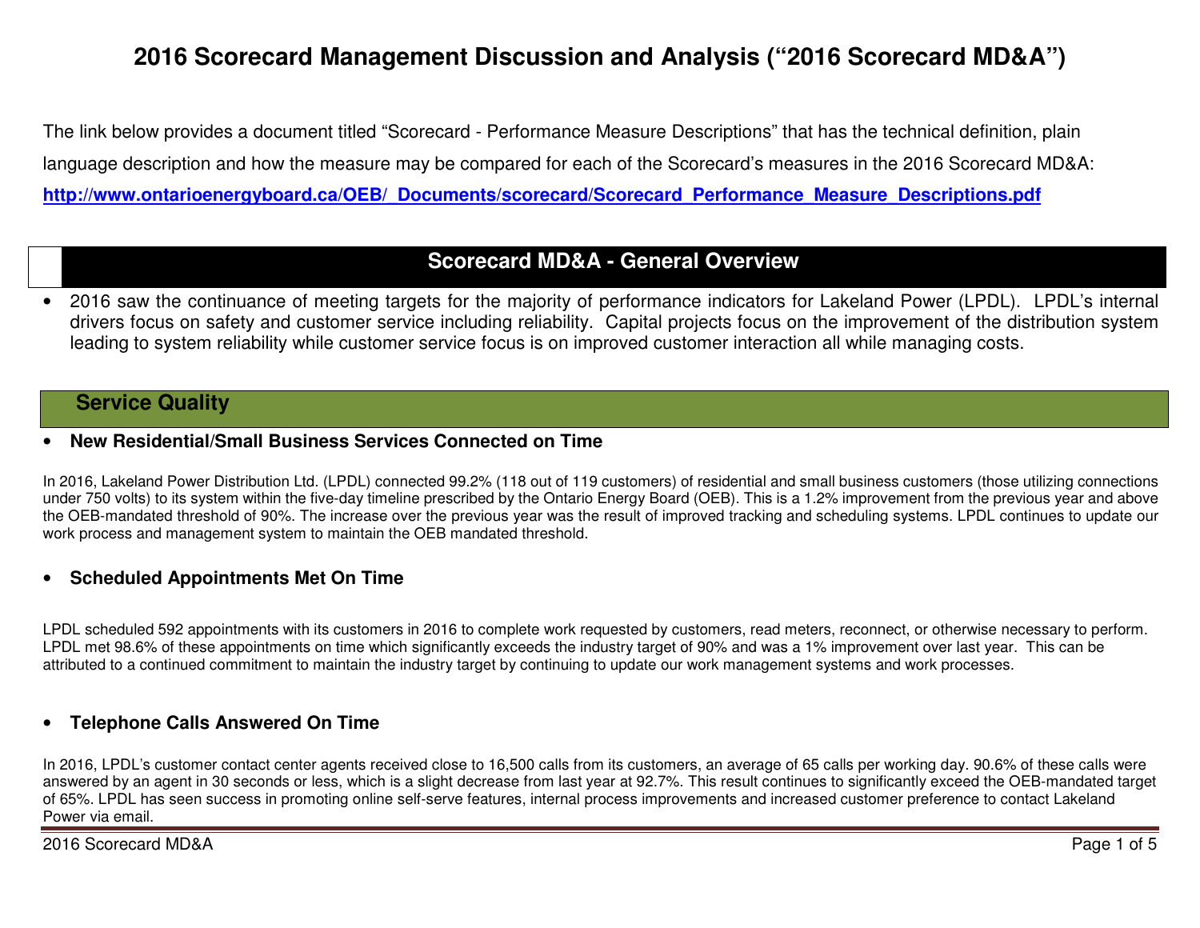# **2016 Scorecard Management Discussion and Analysis ("2016 Scorecard MD&A")**

The link below provides a document titled "Scorecard - Performance Measure Descriptions" that has the technical definition, plain language description and how the measure may be compared for each of the Scorecard's measures in the 2016 Scorecard MD&A: **http://www.ontarioenergyboard.ca/OEB/\_Documents/scorecard/Scorecard\_Performance\_Measure\_Descriptions.pdf** 

### **Scorecard MD&A - General Overview**

• 2016 saw the continuance of meeting targets for the majority of performance indicators for Lakeland Power (LPDL). LPDL's internal drivers focus on safety and customer service including reliability. Capital projects focus on the improvement of the distribution system leading to system reliability while customer service focus is on improved customer interaction all while managing costs.

### **Service Quality**

#### •**New Residential/Small Business Services Connected on Time**

In 2016, Lakeland Power Distribution Ltd. (LPDL) connected 99.2% (118 out of 119 customers) of residential and small business customers (those utilizing connections under 750 volts) to its system within the five-day timeline prescribed by the Ontario Energy Board (OEB). This is a 1.2% improvement from the previous year and above the OEB-mandated threshold of 90%. The increase over the previous year was the result of improved tracking and scheduling systems. LPDL continues to update our work process and management system to maintain the OEB mandated threshold.

### • **Scheduled Appointments Met On Time**

LPDL scheduled 592 appointments with its customers in 2016 to complete work requested by customers, read meters, reconnect, or otherwise necessary to perform. LPDL met 98.6% of these appointments on time which significantly exceeds the industry target of 90% and was a 1% improvement over last year. This can beattributed to a continued commitment to maintain the industry target by continuing to update our work management systems and work processes.

#### •**Telephone Calls Answered On Time**

In 2016, LPDL's customer contact center agents received close to 16,500 calls from its customers, an average of 65 calls per working day. 90.6% of these calls were answered by an agent in 30 seconds or less, which is a slight decrease from last year at 92.7%. This result continues to significantly exceed the OEB-mandated target of 65%. LPDL has seen success in promoting online self-serve features, internal process improvements and increased customer preference to contact Lakeland Power via email.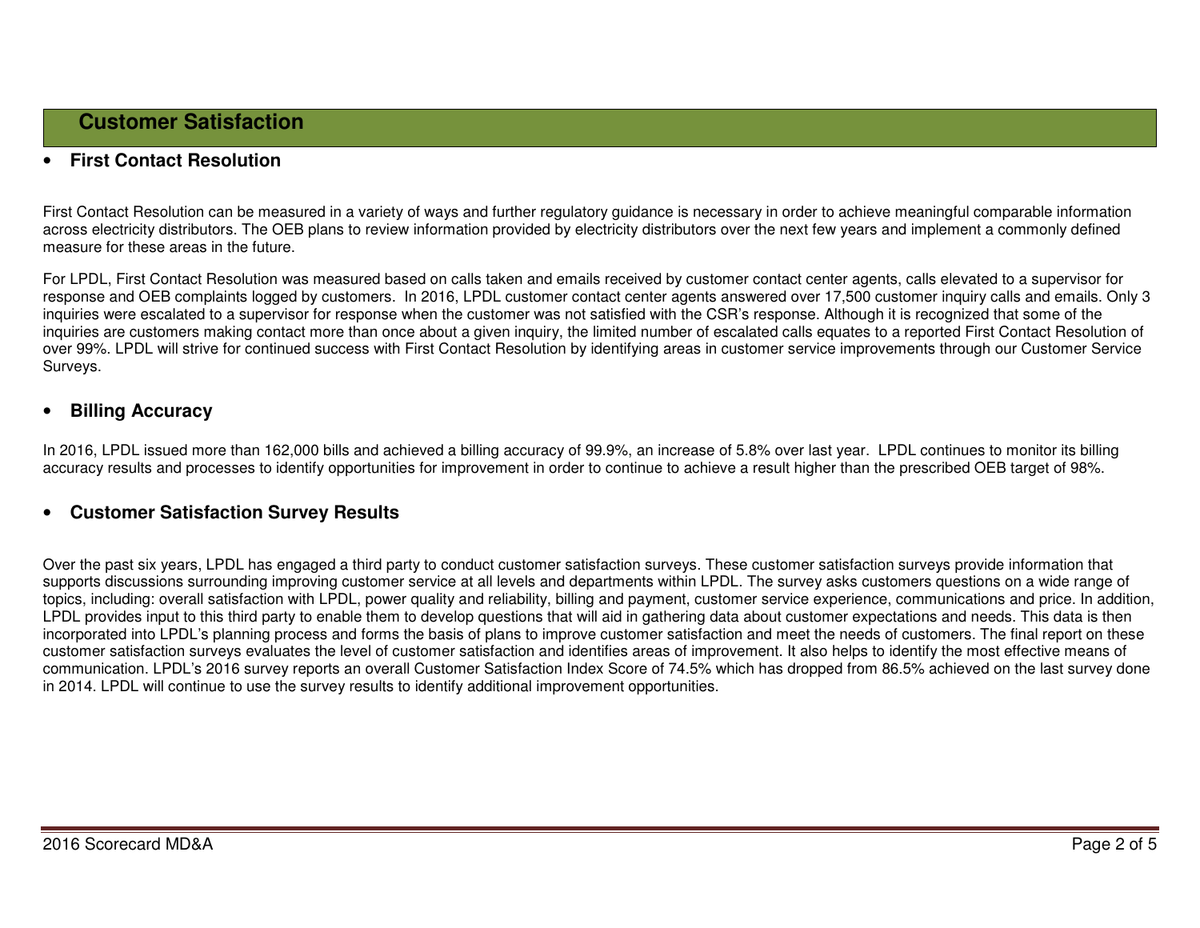#### •**First Contact Resolution**

First Contact Resolution can be measured in a variety of ways and further regulatory guidance is necessary in order to achieve meaningful comparable information across electricity distributors. The OEB plans to review information provided by electricity distributors over the next few years and implement a commonly defined measure for these areas in the future.

For LPDL, First Contact Resolution was measured based on calls taken and emails received by customer contact center agents, calls elevated to a supervisor for response and OEB complaints logged by customers. In 2016, LPDL customer contact center agents answered over 17,500 customer inquiry calls and emails. Only 3 inquiries were escalated to a supervisor for response when the customer was not satisfied with the CSR's response. Although it is recognized that some of the inquiries are customers making contact more than once about a given inquiry, the limited number of escalated calls equates to a reported First Contact Resolution of over 99%. LPDL will strive for continued success with First Contact Resolution by identifying areas in customer service improvements through our Customer Service Surveys.

#### •**Billing Accuracy**

In 2016, LPDL issued more than 162,000 bills and achieved a billing accuracy of 99.9%, an increase of 5.8% over last year. LPDL continues to monitor its billing accuracy results and processes to identify opportunities for improvement in order to continue to achieve a result higher than the prescribed OEB target of 98%.

#### •**Customer Satisfaction Survey Results**

Over the past six years, LPDL has engaged a third party to conduct customer satisfaction surveys. These customer satisfaction surveys provide information that supports discussions surrounding improving customer service at all levels and departments within LPDL. The survey asks customers questions on a wide range of topics, including: overall satisfaction with LPDL, power quality and reliability, billing and payment, customer service experience, communications and price. In addition, LPDL provides input to this third party to enable them to develop questions that will aid in gathering data about customer expectations and needs. This data is then incorporated into LPDL's planning process and forms the basis of plans to improve customer satisfaction and meet the needs of customers. The final report on these customer satisfaction surveys evaluates the level of customer satisfaction and identifies areas of improvement. It also helps to identify the most effective means of communication. LPDL's 2016 survey reports an overall Customer Satisfaction Index Score of 74.5% which has dropped from 86.5% achieved on the last survey done in 2014. LPDL will continue to use the survey results to identify additional improvement opportunities.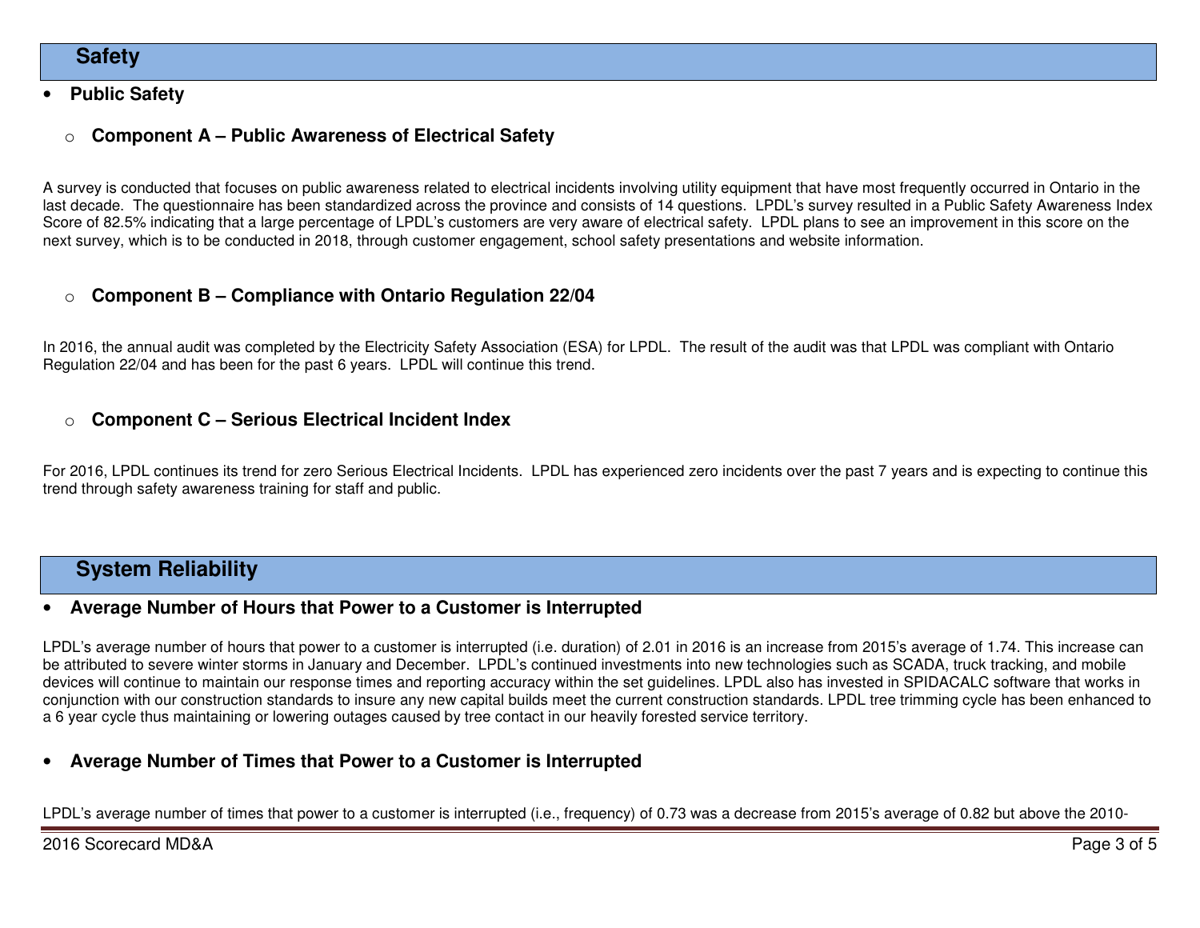### **Safety**

#### •**Public Safety**

#### o**Component A – Public Awareness of Electrical Safety**

A survey is conducted that focuses on public awareness related to electrical incidents involving utility equipment that have most frequently occurred in Ontario in the last decade. The questionnaire has been standardized across the province and consists of 14 questions. LPDL's survey resulted in a Public Safety Awareness Index Score of 82.5% indicating that a large percentage of LPDL's customers are very aware of electrical safety. LPDL plans to see an improvement in this score on the next survey, which is to be conducted in 2018, through customer engagement, school safety presentations and website information.

#### o**Component B – Compliance with Ontario Regulation 22/04**

In 2016, the annual audit was completed by the Electricity Safety Association (ESA) for LPDL. The result of the audit was that LPDL was compliant with Ontario Regulation 22/04 and has been for the past 6 years. LPDL will continue this trend.

#### o**Component C – Serious Electrical Incident Index**

For 2016, LPDL continues its trend for zero Serious Electrical Incidents. LPDL has experienced zero incidents over the past 7 years and is expecting to continue this trend through safety awareness training for staff and public.

### **System Reliability**

#### •**Average Number of Hours that Power to a Customer is Interrupted**

LPDL's average number of hours that power to a customer is interrupted (i.e. duration) of 2.01 in 2016 is an increase from 2015's average of 1.74. This increase can be attributed to severe winter storms in January and December. LPDL's continued investments into new technologies such as SCADA, truck tracking, and mobile devices will continue to maintain our response times and reporting accuracy within the set guidelines. LPDL also has invested in SPIDACALC software that works in conjunction with our construction standards to insure any new capital builds meet the current construction standards. LPDL tree trimming cycle has been enhanced to a 6 year cycle thus maintaining or lowering outages caused by tree contact in our heavily forested service territory.

#### •**Average Number of Times that Power to a Customer is Interrupted**

LPDL's average number of times that power to a customer is interrupted (i.e., frequency) of 0.73 was a decrease from 2015's average of 0.82 but above the 2010-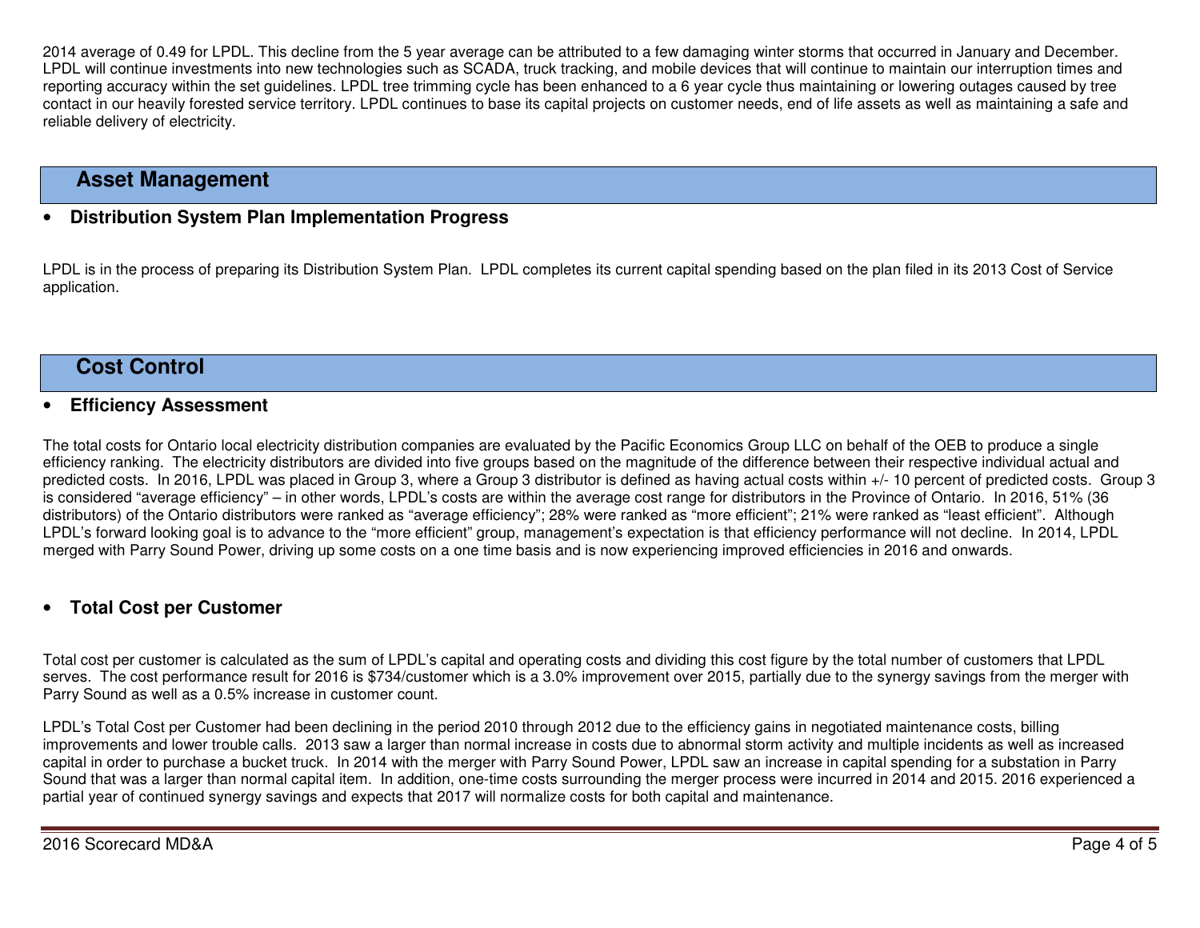2014 average of 0.49 for LPDL. This decline from the 5 year average can be attributed to a few damaging winter storms that occurred in January and December. LPDL will continue investments into new technologies such as SCADA, truck tracking, and mobile devices that will continue to maintain our interruption times and reporting accuracy within the set guidelines. LPDL tree trimming cycle has been enhanced to a 6 year cycle thus maintaining or lowering outages caused by tree contact in our heavily forested service territory. LPDL continues to base its capital projects on customer needs, end of life assets as well as maintaining a safe and reliable delivery of electricity.

### **Asset Management**

#### •**Distribution System Plan Implementation Progress**

LPDL is in the process of preparing its Distribution System Plan. LPDL completes its current capital spending based on the plan filed in its 2013 Cost of Service application.

### **Cost Control**

#### $\bullet$ **Efficiency Assessment**

The total costs for Ontario local electricity distribution companies are evaluated by the Pacific Economics Group LLC on behalf of the OEB to produce a single efficiency ranking. The electricity distributors are divided into five groups based on the magnitude of the difference between their respective individual actual and predicted costs. In 2016, LPDL was placed in Group 3, where a Group 3 distributor is defined as having actual costs within +/- 10 percent of predicted costs. Group 3 is considered "average efficiency" – in other words, LPDL's costs are within the average cost range for distributors in the Province of Ontario. In 2016, 51% (36 distributors) of the Ontario distributors were ranked as "average efficiency"; 28% were ranked as "more efficient"; 21% were ranked as "least efficient". Although LPDL's forward looking goal is to advance to the "more efficient" group, management's expectation is that efficiency performance will not decline. In 2014, LPDL merged with Parry Sound Power, driving up some costs on a one time basis and is now experiencing improved efficiencies in 2016 and onwards.

#### •**Total Cost per Customer**

Total cost per customer is calculated as the sum of LPDL's capital and operating costs and dividing this cost figure by the total number of customers that LPDL serves. The cost performance result for 2016 is \$734/customer which is a 3.0% improvement over 2015, partially due to the synergy savings from the merger with Parry Sound as well as a 0.5% increase in customer count.

LPDL's Total Cost per Customer had been declining in the period 2010 through 2012 due to the efficiency gains in negotiated maintenance costs, billing improvements and lower trouble calls. 2013 saw a larger than normal increase in costs due to abnormal storm activity and multiple incidents as well as increased capital in order to purchase a bucket truck. In 2014 with the merger with Parry Sound Power, LPDL saw an increase in capital spending for a substation in Parry Sound that was a larger than normal capital item. In addition, one-time costs surrounding the merger process were incurred in 2014 and 2015. 2016 experienced a partial year of continued synergy savings and expects that 2017 will normalize costs for both capital and maintenance.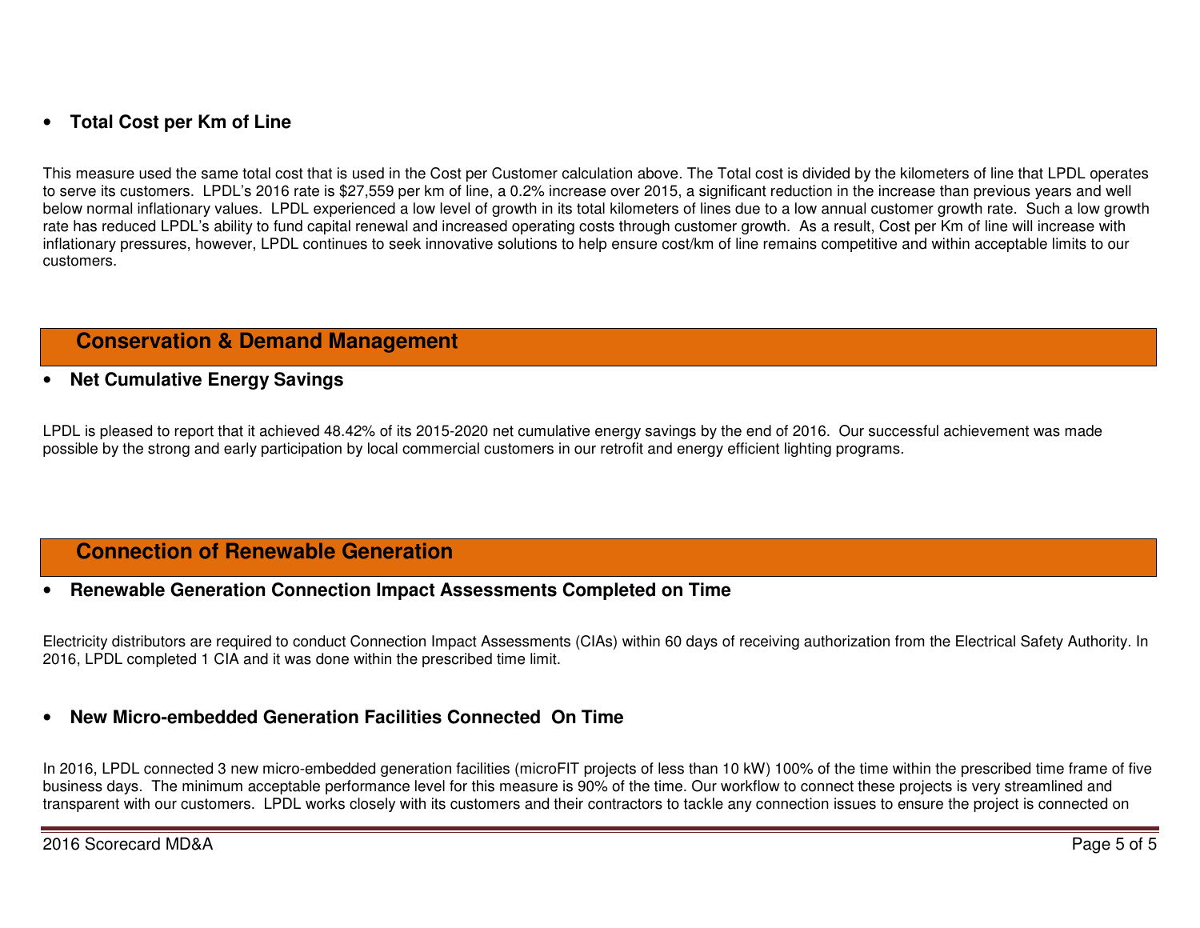## • **Total Cost per Km of Line**

This measure used the same total cost that is used in the Cost per Customer calculation above. The Total cost is divided by the kilometers of line that LPDL operates to serve its customers. LPDL's 2016 rate is \$27,559 per km of line, a 0.2% increase over 2015, a significant reduction in the increase than previous years and well below normal inflationary values. LPDL experienced a low level of growth in its total kilometers of lines due to a low annual customer growth rate. Such a low growth rate has reduced LPDL's ability to fund capital renewal and increased operating costs through customer growth. As a result, Cost per Km of line will increase with inflationary pressures, however, LPDL continues to seek innovative solutions to help ensure cost/km of line remains competitive and within acceptable limits to our customers.

### **Conservation & Demand Management**

#### •**Net Cumulative Energy Savings**

LPDL is pleased to report that it achieved 48.42% of its 2015-2020 net cumulative energy savings by the end of 2016. Our successful achievement was madepossible by the strong and early participation by local commercial customers in our retrofit and energy efficient lighting programs.

### **Connection of Renewable Generation**

#### •**Renewable Generation Connection Impact Assessments Completed on Time**

Electricity distributors are required to conduct Connection Impact Assessments (CIAs) within 60 days of receiving authorization from the Electrical Safety Authority. In 2016, LPDL completed 1 CIA and it was done within the prescribed time limit.

#### •**New Micro-embedded Generation Facilities Connected On Time**

In 2016, LPDL connected 3 new micro-embedded generation facilities (microFIT projects of less than 10 kW) 100% of the time within the prescribed time frame of five business days. The minimum acceptable performance level for this measure is 90% of the time. Our workflow to connect these projects is very streamlined and transparent with our customers. LPDL works closely with its customers and their contractors to tackle any connection issues to ensure the project is connected on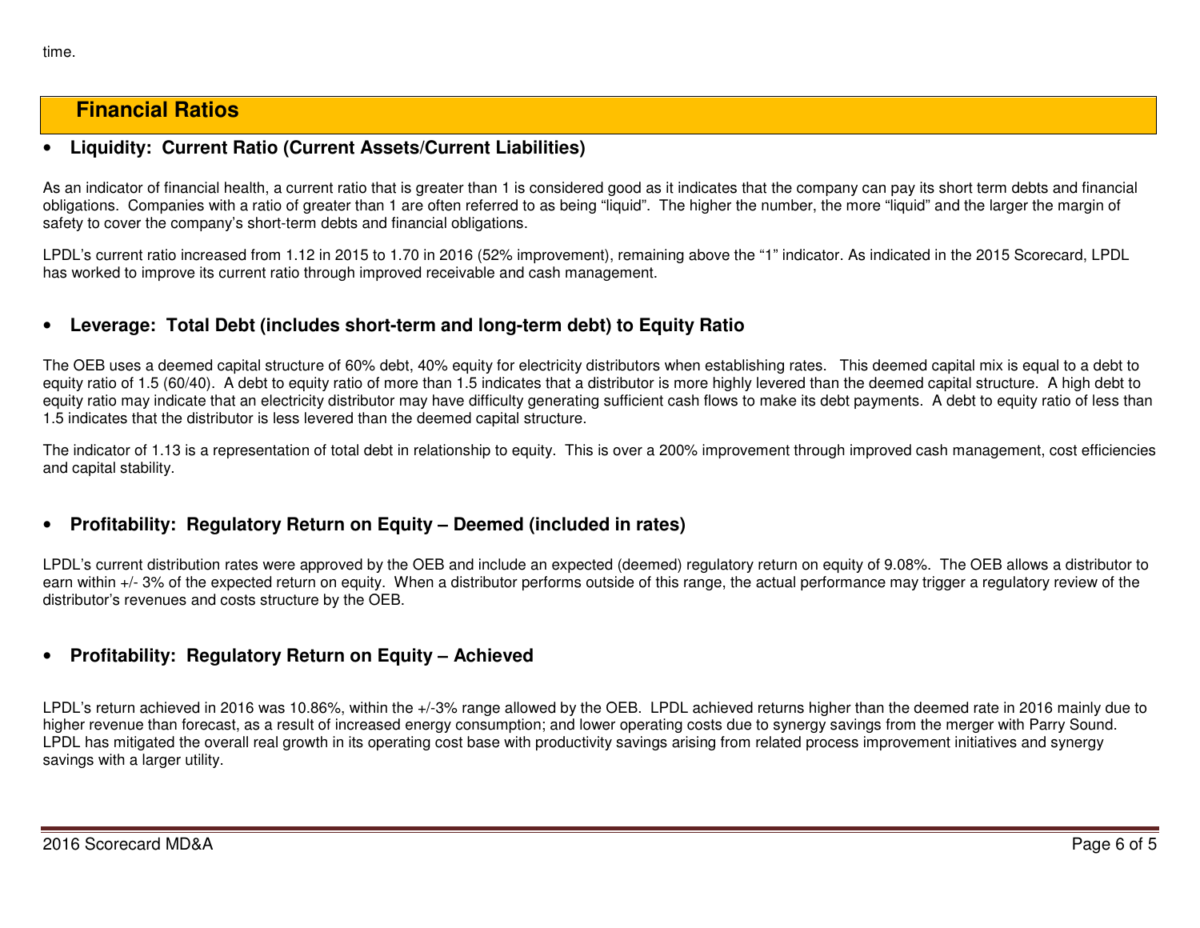### **Financial Ratios**

#### •**Liquidity: Current Ratio (Current Assets/Current Liabilities)**

As an indicator of financial health, a current ratio that is greater than 1 is considered good as it indicates that the company can pay its short term debts and financial obligations. Companies with a ratio of greater than 1 are often referred to as being "liquid". The higher the number, the more "liquid" and the larger the margin of safety to cover the company's short-term debts and financial obligations.

LPDL's current ratio increased from 1.12 in 2015 to 1.70 in 2016 (52% improvement), remaining above the "1" indicator. As indicated in the 2015 Scorecard, LPDL has worked to improve its current ratio through improved receivable and cash management.

#### •**Leverage: Total Debt (includes short-term and long-term debt) to Equity Ratio**

The OEB uses a deemed capital structure of 60% debt, 40% equity for electricity distributors when establishing rates. This deemed capital mix is equal to a debt to equity ratio of 1.5 (60/40). A debt to equity ratio of more than 1.5 indicates that a distributor is more highly levered than the deemed capital structure. A high debt to equity ratio may indicate that an electricity distributor may have difficulty generating sufficient cash flows to make its debt payments. A debt to equity ratio of less than 1.5 indicates that the distributor is less levered than the deemed capital structure.

The indicator of 1.13 is a representation of total debt in relationship to equity. This is over a 200% improvement through improved cash management, cost efficiencies and capital stability.

#### •**Profitability: Regulatory Return on Equity – Deemed (included in rates)**

LPDL's current distribution rates were approved by the OEB and include an expected (deemed) regulatory return on equity of 9.08%. The OEB allows a distributor to earn within +/- 3% of the expected return on equity. When a distributor performs outside of this range, the actual performance may trigger a regulatory review of the distributor's revenues and costs structure by the OEB.

### • **Profitability: Regulatory Return on Equity – Achieved**

LPDL's return achieved in 2016 was 10.86%, within the +/-3% range allowed by the OEB. LPDL achieved returns higher than the deemed rate in 2016 mainly due to higher revenue than forecast, as a result of increased energy consumption; and lower operating costs due to synergy savings from the merger with Parry Sound. LPDL has mitigated the overall real growth in its operating cost base with productivity savings arising from related process improvement initiatives and synergy savings with a larger utility.